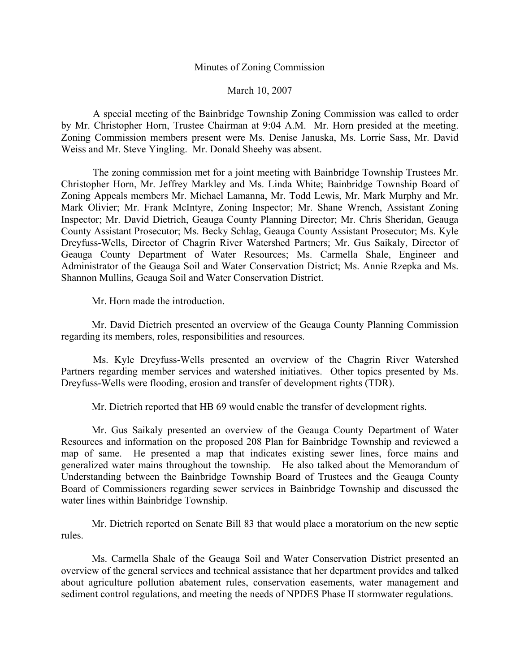## Minutes of Zoning Commission

March 10, 2007

 A special meeting of the Bainbridge Township Zoning Commission was called to order by Mr. Christopher Horn, Trustee Chairman at 9:04 A.M. Mr. Horn presided at the meeting. Zoning Commission members present were Ms. Denise Januska, Ms. Lorrie Sass, Mr. David Weiss and Mr. Steve Yingling. Mr. Donald Sheehy was absent.

 The zoning commission met for a joint meeting with Bainbridge Township Trustees Mr. Christopher Horn, Mr. Jeffrey Markley and Ms. Linda White; Bainbridge Township Board of Zoning Appeals members Mr. Michael Lamanna, Mr. Todd Lewis, Mr. Mark Murphy and Mr. Mark Olivier; Mr. Frank McIntyre, Zoning Inspector; Mr. Shane Wrench, Assistant Zoning Inspector; Mr. David Dietrich, Geauga County Planning Director; Mr. Chris Sheridan, Geauga County Assistant Prosecutor; Ms. Becky Schlag, Geauga County Assistant Prosecutor; Ms. Kyle Dreyfuss-Wells, Director of Chagrin River Watershed Partners; Mr. Gus Saikaly, Director of Geauga County Department of Water Resources; Ms. Carmella Shale, Engineer and Administrator of the Geauga Soil and Water Conservation District; Ms. Annie Rzepka and Ms. Shannon Mullins, Geauga Soil and Water Conservation District.

Mr. Horn made the introduction.

 Mr. David Dietrich presented an overview of the Geauga County Planning Commission regarding its members, roles, responsibilities and resources.

 Ms. Kyle Dreyfuss-Wells presented an overview of the Chagrin River Watershed Partners regarding member services and watershed initiatives. Other topics presented by Ms. Dreyfuss-Wells were flooding, erosion and transfer of development rights (TDR).

Mr. Dietrich reported that HB 69 would enable the transfer of development rights.

 Mr. Gus Saikaly presented an overview of the Geauga County Department of Water Resources and information on the proposed 208 Plan for Bainbridge Township and reviewed a map of same. He presented a map that indicates existing sewer lines, force mains and generalized water mains throughout the township. He also talked about the Memorandum of Understanding between the Bainbridge Township Board of Trustees and the Geauga County Board of Commissioners regarding sewer services in Bainbridge Township and discussed the water lines within Bainbridge Township.

 Mr. Dietrich reported on Senate Bill 83 that would place a moratorium on the new septic rules.

 Ms. Carmella Shale of the Geauga Soil and Water Conservation District presented an overview of the general services and technical assistance that her department provides and talked about agriculture pollution abatement rules, conservation easements, water management and sediment control regulations, and meeting the needs of NPDES Phase II stormwater regulations.